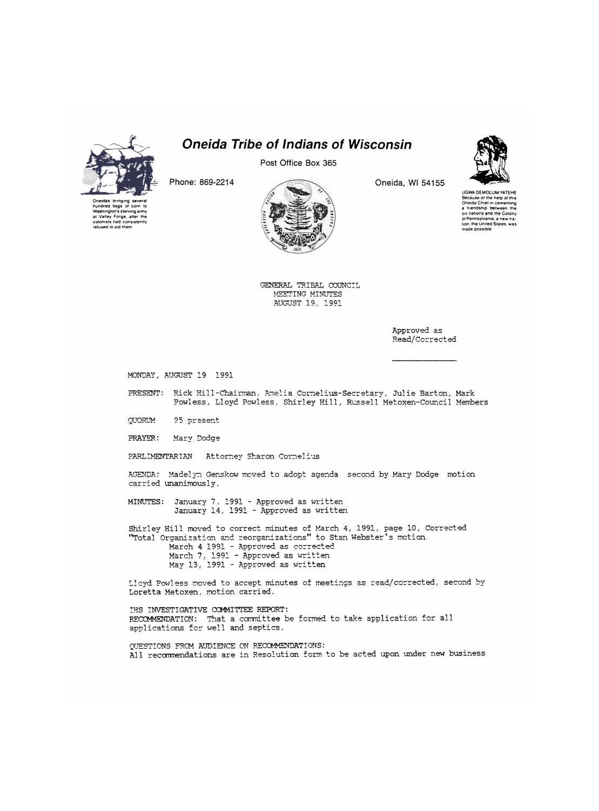

refused to aid them

*Oneida Tribe of Indians of Wisconsin* 

Post Office Box 365

Phone: 869-2214



Oneida, Wl 54155



UGWA DEMOLUM YATEHE Because of the help of this<br>Oneida Chief in cementing<br>a :friendship: between: the six nations and the Colony oi Pennsylvania, a new nation. the United Stales, was made possible

**GENERAL TRIBAL COUNCIL MEETING MINUTES AUGUST 19, 1991** 

> Approved as Read/Corrected

**MONDAY, AUGUST 19 1991** 

PRESENT: Rick Hill-Chairman, Amelia Cornelius-Secretary, Julie Barton, Mark **Fowless, Lloyd Fowless, Shirley Hill, Russell Metoxen-Council Members** 

**OUQRUM**  95 present

**FRAYER:** Mary **Dodge** 

**FARLIMENTARIAN Attorney Sharon Cornelius** 

**AGENDA:\* Madelyn Genskow moved to adopt agenda second by Mary Dodge motion**  carried unanimously.

**MINUTES: January 7, 1991 - Approved as written January 14, 1991 - Approved as written** 

Shirley Hill moved to correct minutes of March 4, 1991, page 10, Corrected "Total Organization and reorganizations" to Stan Webster's motion. March 4 1991 - Approved as corrected

March 7, 1991 - Approved as written May 13, 1991 - Approved as written

Lloyd Powless moved to accept minutes of meetings as read/corrected, second by Loretta Metoxen, motion carried.

IHS INVESTIGATIVE COMMITTEE REPORT: RECOMMENDATION: That a committee be formed to take application for all applications for well and septics.

QUESTIONS FROM AUDIENCE ON RECOMMENDATIONS: All recommendations are in Resolution form to be acted upon under new business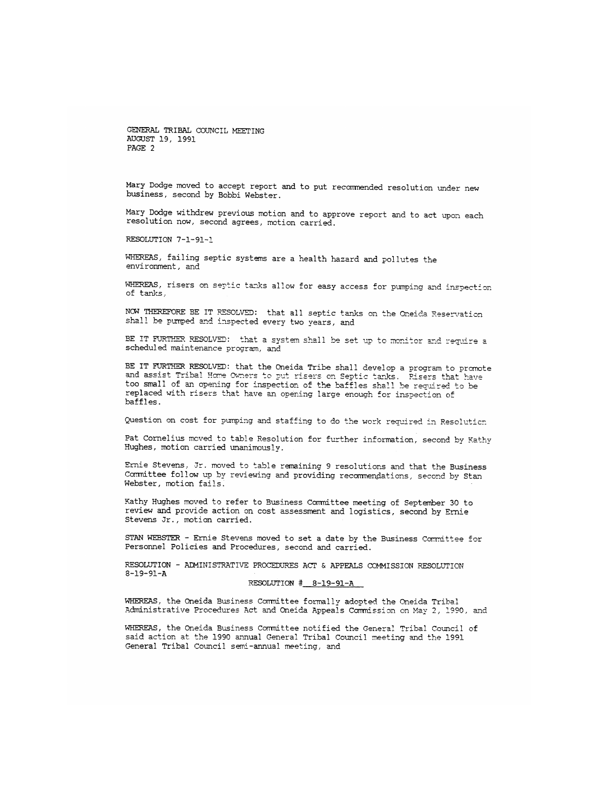**Mary Dodge moved to accept report and to put recommended resolution under new** 

**Mary^Dodge withdrew previous motion and to approve report and to act upon each**  resolution now, second agrees, motion carried.

**RESOLUTION 7-1-91-1** 

**WHEREAS, failing septic systems are a health hazard and pollutes the**  environment, and

**WHEREAS, risers on septic tanks allow for easy access for pumping and inspection of tanks,** 

NOW THEREFORE BE IT RESOLVED: that all septic tanks on the Oneida Reservation shall be pumped and inspected every two years, and

BE IT FURTHER RESOLVED: that a system shall be set up to monitor and require a scheduled maintenance program, and

**BE IT FURTHER RESOLVED: that the Oneida Tribe shall develop a program to promote**  and assist Tribal Home Owners to put risers on Septic tanks. Risers that have **too small of an opening for inspection of the baffles shall be required to be**  replaced with risers that have an opening large enough for inspection of **baffles.** 

**Question on cost for pumping and staffing to do the work recruired in Resolution** 

Pat Cornelius moved to table Resolution for further information, second by Kathy **Hughes, motion carried unanimous1v.** 

**Ernie Stevens, Jr. moved to table remaining 9 resolutions and that the Business Conrnittee follow up by reviewing and providing recommendations, second by Stan Webster, motion fails.** 

**Kathy Hughes moved to refer to Business Committee meeting of September 30 to review and provide action on cost assessment and logistics, second by Ernie Stevens Jr., motion carried.** 

**STAN WEBSTER - Ernie Stevens moved to set a date by the Business Committee for Personnel Policies and Procedures, second and carried.** 

**RESOLUTION - ADMINISTRATIVE PROCEDURES ACT & APPEALS COMMISSION RESOLUTION 3-19-91-A** 

## **RESOLUTION # 8-19-91-A**

**WHEREAS, the Oneida Business Committee formally adopted the Oneida Tribal Administrative Procedures Act and Oneida Appeals Commission on May 2, 1990, and** 

**WHEREAS, the Oneida Business Committee notified the General Tribal Council of said action at the 1990 annual General Tribal Council meeting and the 1991 General Tribal Council semi-annual meeting, and**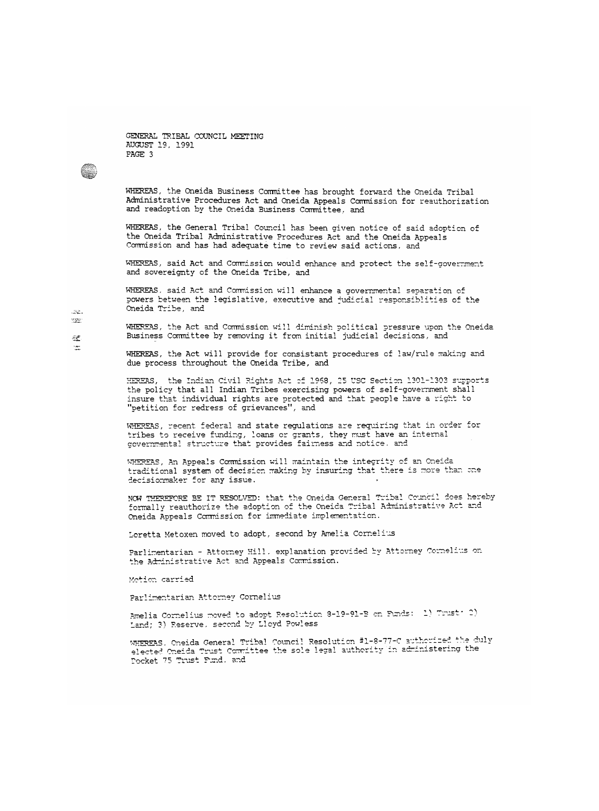e.

WHEREAS, the Oneida Business Committee has brought forward the Oneida Tribal **Administrative Procedures Act and Oneida Appeals Commission for reauthorization and reaaoption by the Oneida Business Committee, and** 

**WHEREAS, the General Tribal Council has been given notice of said adoption of the Oneida Tribal Administrative Procedures Act and the Oneida Appeals Corrmission and has had adequate time to review said actions, and** 

**WHEREAS, said Act and Commission would enhance and protect the self-government and sovereignty of the Oneida Tribe, and** 

WHEREAS, said Act and Commission will enhance a governmental separation of **powers between the legislative, executive and judicial responsiblities of the Oneida Tribe, and** 

**WHEREAS, the Act and Commission will diminish political pressure upon the Oneida Business Corrmittee by removing it from initial judicial decisions, and** 

**WHEREAS, the Act will provide for consistent procedures of law/rule making and due process throughout the Oneida Tribe, and** 

HEREAS, the Indian Civil Rights Act of 1968, 25 USC Section 1301-1303 supports **the policy"that all Indian Tribes\* exercising powers"of self-government shall**  insure that individual rights are protected and that people have a right to "petition for redress of grievances", and

WHEREAS, recent federal and state regulations are requiring that in order for tribes to receive funding, loans or grants, they must have an internal governmental structure that provides fairness and notice. and

WHEREAS, An Appeals Commission will maintain the integrity of an Oneida traditional system of decision making by insuring that there is more than one decisionmaker for any issue.

**NOW THEREFORE BE IT RESOLVED: that the Oneida General Tribal Council does hereby formally reauthorize the adoption of the Oneida Tribal Administrative Act and Oneida Appeals Corrmission for immediate implementation.** 

**Loretta Metoxen moved to adopt, second by Amelia Cornelius** 

Parlimentarian - Attorney Hill, explanation provided by Attorney Cornelius on the Administrative Act and Appeals Commission.

Motion carried

Parlimentarian Attorney Cornelius

Amelia Cornelius moved to adopt Resolution 8-19-91-B on Funds: (2) Trust<sup>.</sup> 2) **Lard' Reserve, second b" Ll Llovd Fowl ess** 

WHEREAS. Oneida General Tribal Council Resolution #1-8-77-C authorized the duly **<sup>0</sup>i or+pj f^eida Trust Ccmrdttee the sole legal authorit stering the** Pocket 75 Trust Fund, and

Low.  $\mathcal{M}_{\rm eff}^{\rm exp}$  $\propto \sqrt{\epsilon}$  $\sim 100$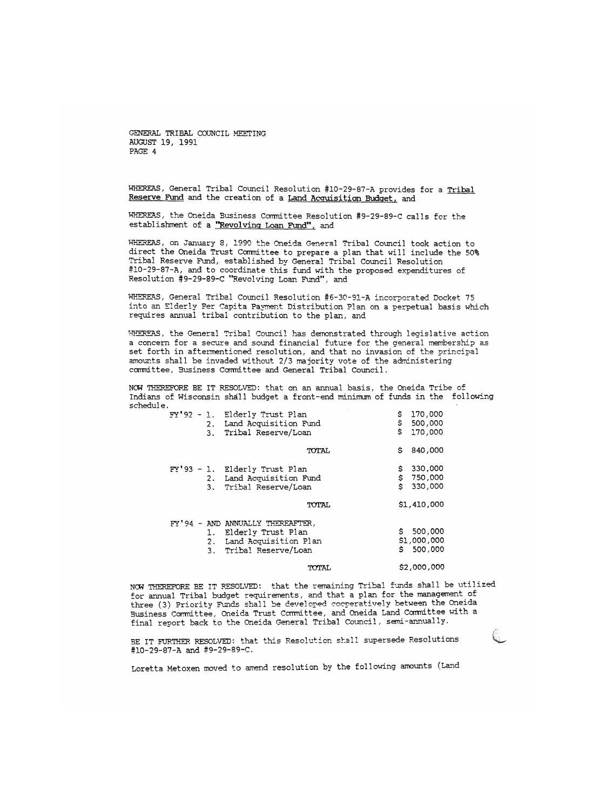**WHEREAS, General Tribal Council Resolution #10-29-87-A provides for a Tribal Reserve Fund and the creation of a Land Accruisitian Budget, and** 

**WHEREAS, the Oneida Business Committee Resolution #9-29-89-C calls for the** 

**WHEREAS, on January 3, 1990 the Oneida General Tribal Council took action to direct the Oneida Trust Committee to prepare a plan that will include the 50% Tribal Reserve Fund, established by General Tribal Council Resolution #10-29-87-A, and to coordinate this fund with the proposed expenditures of**  Resolution #9-29-89-C "Revolving Loan Fund", and

WHEREAS, General Tribal Council Resolution #6-30-91-A incorporated Docket 75 into an Elderly Per Capita Payment Distribution Plan on a perpetual basis which requires annual tribal contribution to the plan, and

**WHEREAS, the General Tribal Council has demonstrated through legislative action a concern for a secure and sound financial future for the general membership as set forth in aftermentioned resolution, and that no invasion of the principal amounts shall be invaded without 2/3 majority vote of the administering conmittee, Business Committee and General Tribal Council.** 

NOW THEREFORE BE IT RESOLVED: that on an annual basis, the Oneida Tribe of Indians of Wisconsin shall budget a front-end minimum of funds in the following schedule.

| \$<br>170,000            |
|--------------------------|
| \$<br>500,000            |
| \$170,000                |
| Ŝ<br>840,000             |
| 330,000<br>\$            |
|                          |
| $$750,000$<br>$$330,000$ |
| \$1,410,000              |
|                          |
| \$500,000                |
| \$1,000,000              |
| 500,000<br>S.            |
| \$2,000,000              |
|                          |

**NOW THEREFORE EE IT RESOLVED: that the remaining Tribal funds shall be utilized for annual Tribal budget requirements, and that a plan for the management of three (3) Priority Funds shall be developed cooperatively between the Oneida Business Committee, Oneida Trust Committee, and Oneida Land Committee with a final report back to the Oneida General Tribal Council, semi-annually.** 

**BE IT FURTHER RESOLVED: that this Resolution shall supersede Resolutions**  #10-29-87-A and #9-29-89-C.

**Loretta Metoxen moved to amend resolution by the following amounts (Land**